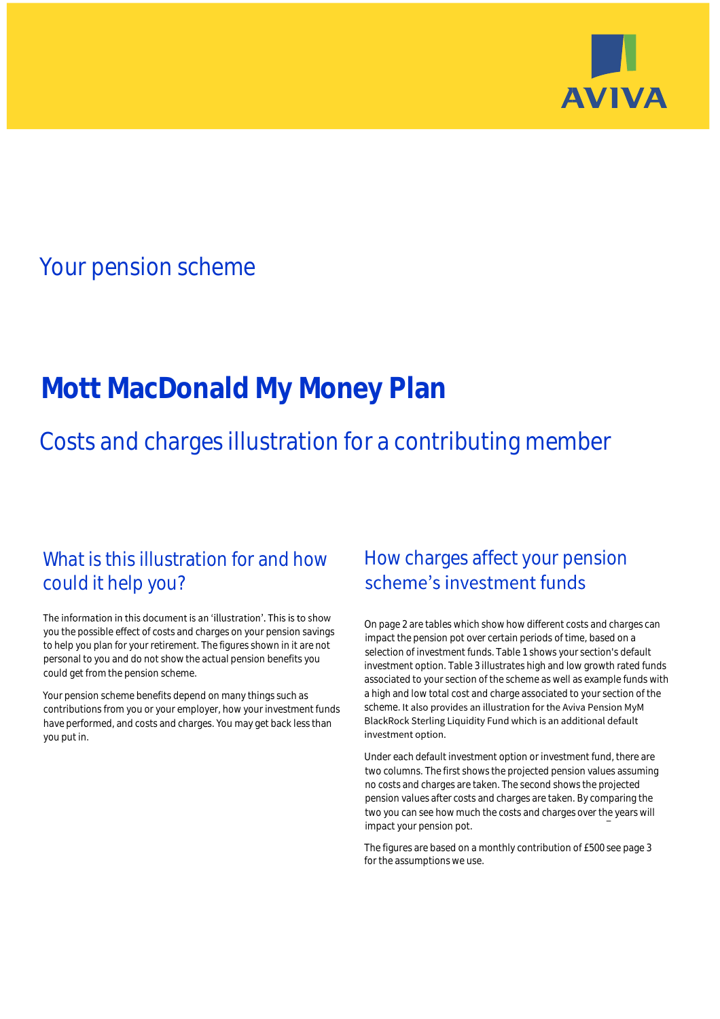

# Your pension scheme

# **Mott MacDonald My Money Plan**

# Costs and charges illustration for a contributing member

## What is this illustration for and how could it help you?

#### The information in this document is an 'illustration'. This is to show you the possible effect of costs and charges on your pension savings to help you plan for your retirement. The figures shown in it are not personal to you and do not show the actual pension benefits you could get from the pension scheme.

Your pension scheme benefits depend on many things such as contributions from you or your employer, how your investment funds have performed, and costs and charges. You may get back less than you put in.

## How charges affect your pension scheme's investment funds

On page 2 are tables which show how different costs and charges can impact the pension pot over certain periods of time, based on a selection of investment funds. Table 1 shows your section's default investment option. Table 3 illustrates high and low growth rated funds associated to your section of the scheme as well as example funds with a high and low total cost and charge associated to your section of the scheme. It also provides an illustration for the Aviva Pension MyM BlackRock Sterling Liquidity Fund which is an additional default investment option.

Under each default investment option or investment fund, there are two columns. The first shows the projected pension values assuming no costs and charges are taken. The second shows the projected pension values after costs and charges are taken. By comparing the two you can see how much the costs and charges over the years will impact your pension pot.

The figures are based on a monthly contribution of £500 see page 3 for the assumptions we use.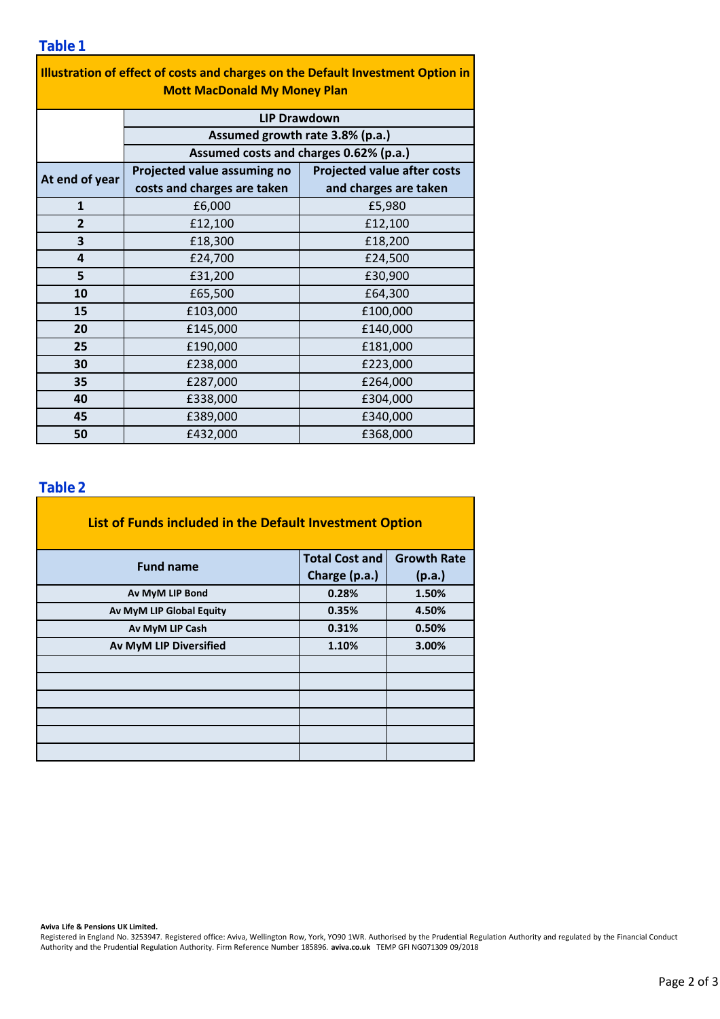| Illustration of effect of costs and charges on the Default Investment Option in<br><b>Mott MacDonald My Money Plan</b> |                                                                           |                                    |  |  |  |  |
|------------------------------------------------------------------------------------------------------------------------|---------------------------------------------------------------------------|------------------------------------|--|--|--|--|
|                                                                                                                        | <b>LIP Drawdown</b>                                                       |                                    |  |  |  |  |
|                                                                                                                        | Assumed growth rate 3.8% (p.a.)<br>Assumed costs and charges 0.62% (p.a.) |                                    |  |  |  |  |
|                                                                                                                        |                                                                           |                                    |  |  |  |  |
| At end of year                                                                                                         | Projected value assuming no                                               | <b>Projected value after costs</b> |  |  |  |  |
|                                                                                                                        | costs and charges are taken                                               | and charges are taken              |  |  |  |  |
| $\mathbf{1}$                                                                                                           | £6,000                                                                    | £5,980                             |  |  |  |  |
| $\overline{2}$                                                                                                         | £12,100                                                                   | £12,100                            |  |  |  |  |
| 3                                                                                                                      | £18,300                                                                   | £18,200                            |  |  |  |  |
| 4                                                                                                                      | £24,700                                                                   | £24,500                            |  |  |  |  |
| 5                                                                                                                      | £31,200                                                                   | £30,900                            |  |  |  |  |
| 10                                                                                                                     | £65,500                                                                   | £64,300                            |  |  |  |  |
| 15                                                                                                                     | £103,000                                                                  | £100,000                           |  |  |  |  |
| 20                                                                                                                     | £145,000                                                                  | £140,000                           |  |  |  |  |
| 25                                                                                                                     | £190,000                                                                  | £181,000                           |  |  |  |  |
| 30                                                                                                                     | £238,000                                                                  | £223,000                           |  |  |  |  |
| 35                                                                                                                     | £287,000                                                                  | £264,000                           |  |  |  |  |
| 40                                                                                                                     | £338,000                                                                  | £304,000                           |  |  |  |  |
| 45                                                                                                                     | £389,000                                                                  | £340,000                           |  |  |  |  |
| 50                                                                                                                     | £432,000                                                                  | £368,000                           |  |  |  |  |

## **Table 2**

| List of Funds included in the Default Investment Option |                                                                                                                                                |  |  |  |  |
|---------------------------------------------------------|------------------------------------------------------------------------------------------------------------------------------------------------|--|--|--|--|
| <b>Fund name</b>                                        | <b>Total Cost and</b><br><b>Growth Rate</b><br>Charge (p.a.)<br>(p.a.)<br>0.28%<br>1.50%<br>0.35%<br>4.50%<br>0.31%<br>0.50%<br>1.10%<br>3.00% |  |  |  |  |
|                                                         |                                                                                                                                                |  |  |  |  |
| Av MyM LIP Bond                                         |                                                                                                                                                |  |  |  |  |
| Av MyM LIP Global Equity                                |                                                                                                                                                |  |  |  |  |
| Av MyM LIP Cash                                         |                                                                                                                                                |  |  |  |  |
| <b>Av MyM LIP Diversified</b>                           |                                                                                                                                                |  |  |  |  |
|                                                         |                                                                                                                                                |  |  |  |  |
|                                                         |                                                                                                                                                |  |  |  |  |
|                                                         |                                                                                                                                                |  |  |  |  |
|                                                         |                                                                                                                                                |  |  |  |  |
|                                                         |                                                                                                                                                |  |  |  |  |
|                                                         |                                                                                                                                                |  |  |  |  |

**Aviva Life & Pensions UK Limited.**

Registered in England No. 3253947. Registered office: Aviva, Wellington Row, York, YO90 1WR. Authorised by the Prudential Regulation Authority and regulated by the Financial Conduct Authority and the Prudential Regulation Authority. Firm Reference Number 185896. **aviva.co.uk** TEMP GFI NG071309 09/2018